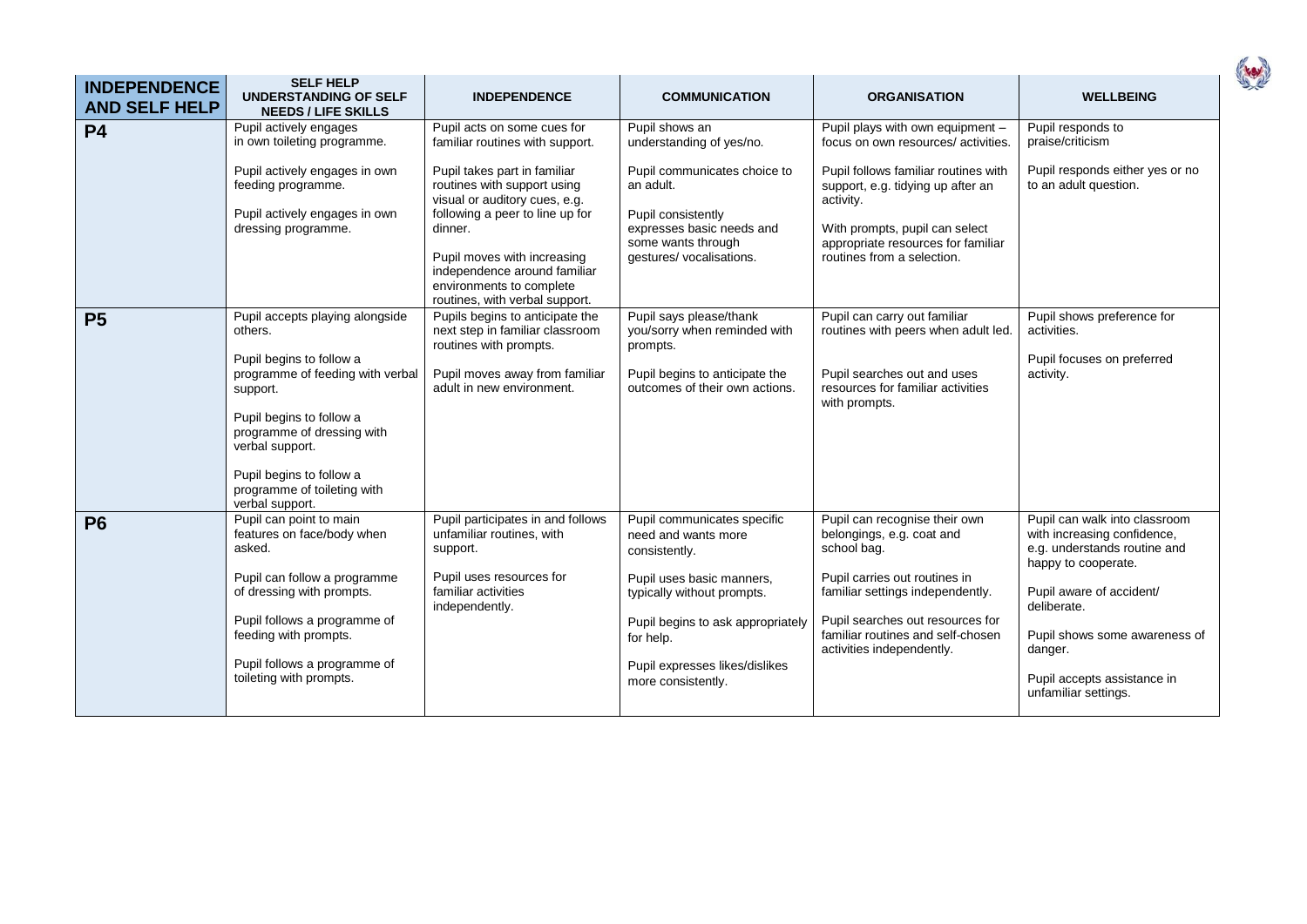| <b>INDEPENDENCE</b><br><b>AND SELF HELP</b> | <b>SELF HELP</b><br><b>UNDERSTANDING OF SELF</b><br><b>NEEDS / LIFE SKILLS</b>                                                                        | <b>INDEPENDENCE</b>                                                                                                       | <b>COMMUNICATION</b>                                                  | <b>ORGANISATION</b>                                                                                | <b>WELLBEING</b>                                                                                                    |
|---------------------------------------------|-------------------------------------------------------------------------------------------------------------------------------------------------------|---------------------------------------------------------------------------------------------------------------------------|-----------------------------------------------------------------------|----------------------------------------------------------------------------------------------------|---------------------------------------------------------------------------------------------------------------------|
| <b>P4</b>                                   | Pupil actively engages<br>in own toileting programme.                                                                                                 | Pupil acts on some cues for<br>familiar routines with support.                                                            | Pupil shows an<br>understanding of yes/no.                            | Pupil plays with own equipment -<br>focus on own resources/activities.                             | Pupil responds to<br>praise/criticism                                                                               |
|                                             | Pupil actively engages in own<br>feeding programme.                                                                                                   | Pupil takes part in familiar<br>routines with support using<br>visual or auditory cues, e.g.                              | Pupil communicates choice to<br>an adult.                             | Pupil follows familiar routines with<br>support, e.g. tidying up after an<br>activity.             | Pupil responds either yes or no<br>to an adult question.                                                            |
|                                             | Pupil actively engages in own<br>dressing programme.                                                                                                  | following a peer to line up for<br>dinner.                                                                                | Pupil consistently<br>expresses basic needs and<br>some wants through | With prompts, pupil can select<br>appropriate resources for familiar                               |                                                                                                                     |
|                                             |                                                                                                                                                       | Pupil moves with increasing<br>independence around familiar<br>environments to complete<br>routines, with verbal support. | gestures/ vocalisations.                                              | routines from a selection.                                                                         |                                                                                                                     |
| <b>P5</b>                                   | Pupil accepts playing alongside<br>others.                                                                                                            | Pupils begins to anticipate the<br>next step in familiar classroom<br>routines with prompts.                              | Pupil says please/thank<br>you/sorry when reminded with<br>prompts.   | Pupil can carry out familiar<br>routines with peers when adult led.                                | Pupil shows preference for<br>activities.                                                                           |
|                                             | Pupil begins to follow a<br>programme of feeding with verbal<br>support.<br>Pupil begins to follow a<br>programme of dressing with<br>verbal support. | Pupil moves away from familiar<br>adult in new environment.                                                               | Pupil begins to anticipate the<br>outcomes of their own actions.      | Pupil searches out and uses<br>resources for familiar activities<br>with prompts.                  | Pupil focuses on preferred<br>activity.                                                                             |
|                                             | Pupil begins to follow a<br>programme of toileting with<br>verbal support.                                                                            |                                                                                                                           |                                                                       |                                                                                                    |                                                                                                                     |
| <b>P6</b>                                   | Pupil can point to main<br>features on face/body when<br>asked.                                                                                       | Pupil participates in and follows<br>unfamiliar routines, with<br>support.                                                | Pupil communicates specific<br>need and wants more<br>consistently.   | Pupil can recognise their own<br>belongings, e.g. coat and<br>school bag.                          | Pupil can walk into classroom<br>with increasing confidence,<br>e.g. understands routine and<br>happy to cooperate. |
|                                             | Pupil can follow a programme<br>of dressing with prompts.                                                                                             | Pupil uses resources for<br>familiar activities<br>independently.                                                         | Pupil uses basic manners,<br>typically without prompts.               | Pupil carries out routines in<br>familiar settings independently.                                  | Pupil aware of accident/<br>deliberate.                                                                             |
|                                             | Pupil follows a programme of<br>feeding with prompts.                                                                                                 |                                                                                                                           | Pupil begins to ask appropriately<br>for help.                        | Pupil searches out resources for<br>familiar routines and self-chosen<br>activities independently. | Pupil shows some awareness of<br>danger.                                                                            |
|                                             | Pupil follows a programme of<br>toileting with prompts.                                                                                               |                                                                                                                           | Pupil expresses likes/dislikes<br>more consistently.                  |                                                                                                    | Pupil accepts assistance in<br>unfamiliar settings.                                                                 |

( rev)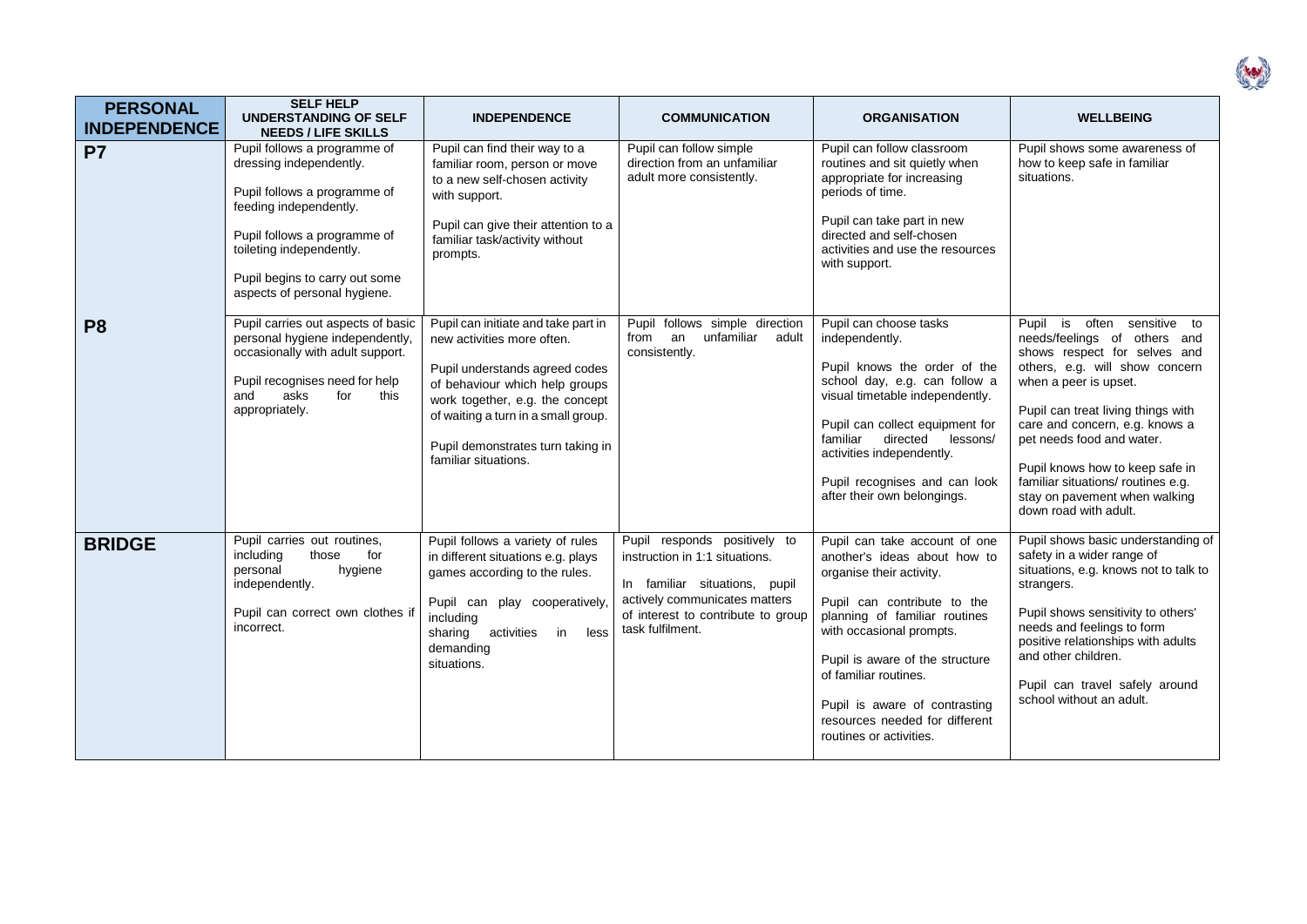| i |  |
|---|--|
|   |  |
|   |  |

| <b>PERSONAL</b><br><b>INDEPENDENCE</b> | <b>SELF HELP</b><br><b>UNDERSTANDING OF SELF</b><br><b>NEEDS / LIFE SKILLS</b>                                                                                                                                                                  | <b>INDEPENDENCE</b>                                                                                                                                                                                                                                                          | <b>COMMUNICATION</b>                                                                                                                                                                       | <b>ORGANISATION</b>                                                                                                                                                                                                                                                                                                                             | <b>WELLBEING</b>                                                                                                                                                                                                                                                                                                                                                                                  |
|----------------------------------------|-------------------------------------------------------------------------------------------------------------------------------------------------------------------------------------------------------------------------------------------------|------------------------------------------------------------------------------------------------------------------------------------------------------------------------------------------------------------------------------------------------------------------------------|--------------------------------------------------------------------------------------------------------------------------------------------------------------------------------------------|-------------------------------------------------------------------------------------------------------------------------------------------------------------------------------------------------------------------------------------------------------------------------------------------------------------------------------------------------|---------------------------------------------------------------------------------------------------------------------------------------------------------------------------------------------------------------------------------------------------------------------------------------------------------------------------------------------------------------------------------------------------|
| <b>P7</b>                              | Pupil follows a programme of<br>dressing independently.<br>Pupil follows a programme of<br>feeding independently.<br>Pupil follows a programme of<br>toileting independently.<br>Pupil begins to carry out some<br>aspects of personal hygiene. | Pupil can find their way to a<br>familiar room, person or move<br>to a new self-chosen activity<br>with support.<br>Pupil can give their attention to a<br>familiar task/activity without<br>prompts.                                                                        | Pupil can follow simple<br>direction from an unfamiliar<br>adult more consistently.                                                                                                        | Pupil can follow classroom<br>routines and sit quietly when<br>appropriate for increasing<br>periods of time.<br>Pupil can take part in new<br>directed and self-chosen<br>activities and use the resources<br>with support.                                                                                                                    | Pupil shows some awareness of<br>how to keep safe in familiar<br>situations.                                                                                                                                                                                                                                                                                                                      |
| P <sub>8</sub>                         | Pupil carries out aspects of basic<br>personal hygiene independently,<br>occasionally with adult support.<br>Pupil recognises need for help<br>asks<br>and<br>for<br>this<br>appropriately.                                                     | Pupil can initiate and take part in<br>new activities more often.<br>Pupil understands agreed codes<br>of behaviour which help groups<br>work together, e.g. the concept<br>of waiting a turn in a small group.<br>Pupil demonstrates turn taking in<br>familiar situations. | Pupil follows simple direction<br>an<br>unfamiliar<br>adult<br>from<br>consistently.                                                                                                       | Pupil can choose tasks<br>independently.<br>Pupil knows the order of the<br>school day, e.g. can follow a<br>visual timetable independently.<br>Pupil can collect equipment for<br>directed<br>familiar<br>lessons/<br>activities independently.<br>Pupil recognises and can look<br>after their own belongings.                                | often sensitive to<br>Pupil is<br>needs/feelings of others and<br>shows respect for selves and<br>others, e.g. will show concern<br>when a peer is upset.<br>Pupil can treat living things with<br>care and concern, e.g. knows a<br>pet needs food and water.<br>Pupil knows how to keep safe in<br>familiar situations/ routines e.g.<br>stay on pavement when walking<br>down road with adult. |
| <b>BRIDGE</b>                          | Pupil carries out routines,<br>including<br>those<br>for<br>personal<br>hygiene<br>independently.<br>Pupil can correct own clothes if<br>incorrect.                                                                                             | Pupil follows a variety of rules<br>in different situations e.g. plays<br>games according to the rules.<br>Pupil can play cooperatively,<br>including<br>activities in<br>sharing<br>less<br>demanding<br>situations.                                                        | Pupil responds positively to<br>instruction in 1:1 situations.<br>In familiar situations, pupil<br>actively communicates matters<br>of interest to contribute to group<br>task fulfilment. | Pupil can take account of one<br>another's ideas about how to<br>organise their activity.<br>Pupil can contribute to the<br>planning of familiar routines<br>with occasional prompts.<br>Pupil is aware of the structure<br>of familiar routines.<br>Pupil is aware of contrasting<br>resources needed for different<br>routines or activities. | Pupil shows basic understanding of<br>safety in a wider range of<br>situations, e.g. knows not to talk to<br>strangers.<br>Pupil shows sensitivity to others'<br>needs and feelings to form<br>positive relationships with adults<br>and other children.<br>Pupil can travel safely around<br>school without an adult.                                                                            |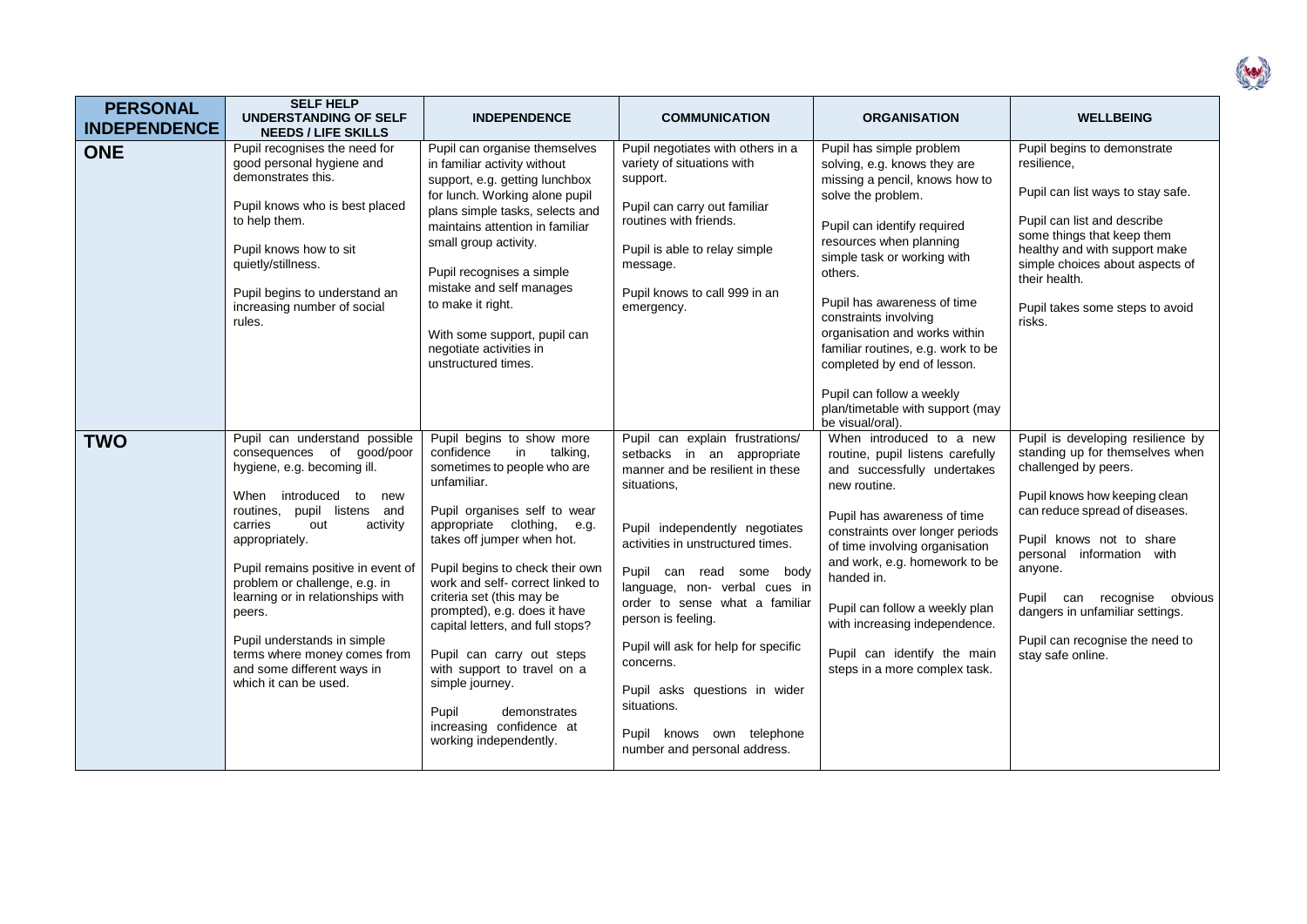| <b>PERSONAL</b><br><b>INDEPENDENCE</b> | <b>SELF HELP</b><br><b>UNDERSTANDING OF SELF</b><br><b>NEEDS / LIFE SKILLS</b>                                                                                                                                                                                                                                                                                                                                                                          | <b>INDEPENDENCE</b>                                                                                                                                                                                                                                                                                                                                                                                                                                                                                                                      | <b>COMMUNICATION</b>                                                                                                                                                                                                                                                                                                                                                                                                                                                           | <b>ORGANISATION</b>                                                                                                                                                                                                                                                                                                                                                                                                                                 | <b>WELLBEING</b>                                                                                                                                                                                                                                                                                                                                              |
|----------------------------------------|---------------------------------------------------------------------------------------------------------------------------------------------------------------------------------------------------------------------------------------------------------------------------------------------------------------------------------------------------------------------------------------------------------------------------------------------------------|------------------------------------------------------------------------------------------------------------------------------------------------------------------------------------------------------------------------------------------------------------------------------------------------------------------------------------------------------------------------------------------------------------------------------------------------------------------------------------------------------------------------------------------|--------------------------------------------------------------------------------------------------------------------------------------------------------------------------------------------------------------------------------------------------------------------------------------------------------------------------------------------------------------------------------------------------------------------------------------------------------------------------------|-----------------------------------------------------------------------------------------------------------------------------------------------------------------------------------------------------------------------------------------------------------------------------------------------------------------------------------------------------------------------------------------------------------------------------------------------------|---------------------------------------------------------------------------------------------------------------------------------------------------------------------------------------------------------------------------------------------------------------------------------------------------------------------------------------------------------------|
| <b>ONE</b>                             | Pupil recognises the need for<br>good personal hygiene and<br>demonstrates this.<br>Pupil knows who is best placed<br>to help them.<br>Pupil knows how to sit<br>quietly/stillness.<br>Pupil begins to understand an<br>increasing number of social<br>rules.                                                                                                                                                                                           | Pupil can organise themselves<br>in familiar activity without<br>support, e.g. getting lunchbox<br>for lunch. Working alone pupil<br>plans simple tasks, selects and<br>maintains attention in familiar<br>small group activity.<br>Pupil recognises a simple<br>mistake and self manages<br>to make it right.<br>With some support, pupil can<br>negotiate activities in<br>unstructured times.                                                                                                                                         | Pupil negotiates with others in a<br>variety of situations with<br>support.<br>Pupil can carry out familiar<br>routines with friends.<br>Pupil is able to relay simple<br>message.<br>Pupil knows to call 999 in an<br>emergency.                                                                                                                                                                                                                                              | Pupil has simple problem<br>solving, e.g. knows they are<br>missing a pencil, knows how to<br>solve the problem.<br>Pupil can identify required<br>resources when planning<br>simple task or working with<br>others.<br>Pupil has awareness of time<br>constraints involving<br>organisation and works within<br>familiar routines, e.g. work to be<br>completed by end of lesson.<br>Pupil can follow a weekly<br>plan/timetable with support (may | Pupil begins to demonstrate<br>resilience,<br>Pupil can list ways to stay safe.<br>Pupil can list and describe<br>some things that keep them<br>healthy and with support make<br>simple choices about aspects of<br>their health.<br>Pupil takes some steps to avoid<br>risks.                                                                                |
| <b>TWO</b>                             | Pupil can understand possible<br>consequences of good/poor<br>hygiene, e.g. becoming ill.<br>When<br>introduced<br>to<br>new<br>routines, pupil listens and<br>carries<br>out<br>activity<br>appropriately.<br>Pupil remains positive in event of<br>problem or challenge, e.g. in<br>learning or in relationships with<br>peers.<br>Pupil understands in simple<br>terms where money comes from<br>and some different ways in<br>which it can be used. | Pupil begins to show more<br>confidence<br>in<br>talking,<br>sometimes to people who are<br>unfamiliar.<br>Pupil organises self to wear<br>appropriate clothing, e.g.<br>takes off jumper when hot.<br>Pupil begins to check their own<br>work and self-correct linked to<br>criteria set (this may be<br>prompted), e.g. does it have<br>capital letters, and full stops?<br>Pupil can carry out steps<br>with support to travel on a<br>simple journey.<br>Pupil<br>demonstrates<br>increasing confidence at<br>working independently. | Pupil can explain frustrations/<br>setbacks in an appropriate<br>manner and be resilient in these<br>situations.<br>Pupil independently negotiates<br>activities in unstructured times.<br>Pupil can read some body<br>language, non- verbal cues in<br>order to sense what a familiar<br>person is feeling.<br>Pupil will ask for help for specific<br>concerns.<br>Pupil asks questions in wider<br>situations.<br>Pupil knows own telephone<br>number and personal address. | be visual/oral).<br>When introduced to a new<br>routine, pupil listens carefully<br>and successfully undertakes<br>new routine.<br>Pupil has awareness of time<br>constraints over longer periods<br>of time involving organisation<br>and work, e.g. homework to be<br>handed in.<br>Pupil can follow a weekly plan<br>with increasing independence.<br>Pupil can identify the main<br>steps in a more complex task.                               | Pupil is developing resilience by<br>standing up for themselves when<br>challenged by peers.<br>Pupil knows how keeping clean<br>can reduce spread of diseases.<br>Pupil knows not to share<br>personal information with<br>anyone.<br>Pupil can recognise obvious<br>dangers in unfamiliar settings.<br>Pupil can recognise the need to<br>stay safe online. |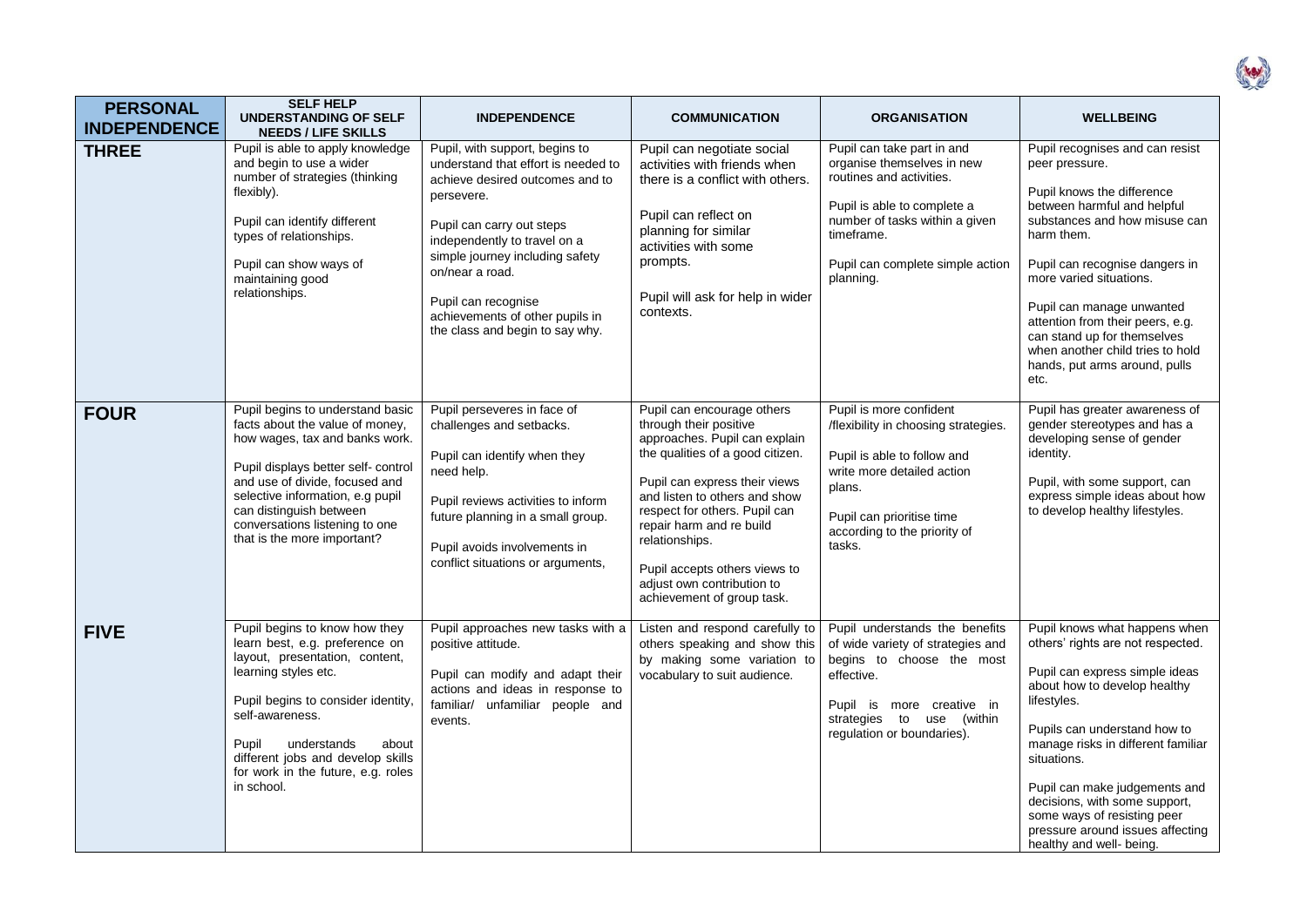| <b>PERSONAL</b><br><b>INDEPENDENCE</b> | <b>SELF HELP</b><br><b>UNDERSTANDING OF SELF</b><br><b>NEEDS / LIFE SKILLS</b>                                                                                                                                                                                                                                 | <b>INDEPENDENCE</b>                                                                                                                                                                                                                                                                                                                    | <b>COMMUNICATION</b>                                                                                                                                                                                                                                                                                                                                                    | <b>ORGANISATION</b>                                                                                                                                                                                                  | <b>WELLBEING</b>                                                                                                                                                                                                                                                                                                                                                                                          |
|----------------------------------------|----------------------------------------------------------------------------------------------------------------------------------------------------------------------------------------------------------------------------------------------------------------------------------------------------------------|----------------------------------------------------------------------------------------------------------------------------------------------------------------------------------------------------------------------------------------------------------------------------------------------------------------------------------------|-------------------------------------------------------------------------------------------------------------------------------------------------------------------------------------------------------------------------------------------------------------------------------------------------------------------------------------------------------------------------|----------------------------------------------------------------------------------------------------------------------------------------------------------------------------------------------------------------------|-----------------------------------------------------------------------------------------------------------------------------------------------------------------------------------------------------------------------------------------------------------------------------------------------------------------------------------------------------------------------------------------------------------|
| <b>THREE</b>                           | Pupil is able to apply knowledge<br>and begin to use a wider<br>number of strategies (thinking<br>flexibly).<br>Pupil can identify different<br>types of relationships.<br>Pupil can show ways of<br>maintaining good<br>relationships.                                                                        | Pupil, with support, begins to<br>understand that effort is needed to<br>achieve desired outcomes and to<br>persevere.<br>Pupil can carry out steps<br>independently to travel on a<br>simple journey including safety<br>on/near a road.<br>Pupil can recognise<br>achievements of other pupils in<br>the class and begin to say why. | Pupil can negotiate social<br>activities with friends when<br>there is a conflict with others.<br>Pupil can reflect on<br>planning for similar<br>activities with some<br>prompts.<br>Pupil will ask for help in wider<br>contexts.                                                                                                                                     | Pupil can take part in and<br>organise themselves in new<br>routines and activities.<br>Pupil is able to complete a<br>number of tasks within a given<br>timeframe.<br>Pupil can complete simple action<br>planning. | Pupil recognises and can resist<br>peer pressure.<br>Pupil knows the difference<br>between harmful and helpful<br>substances and how misuse can<br>harm them.<br>Pupil can recognise dangers in<br>more varied situations.<br>Pupil can manage unwanted<br>attention from their peers, e.g.<br>can stand up for themselves<br>when another child tries to hold<br>hands, put arms around, pulls<br>etc.   |
| <b>FOUR</b>                            | Pupil begins to understand basic<br>facts about the value of money,<br>how wages, tax and banks work.<br>Pupil displays better self- control<br>and use of divide, focused and<br>selective information, e.g pupil<br>can distinguish between<br>conversations listening to one<br>that is the more important? | Pupil perseveres in face of<br>challenges and setbacks.<br>Pupil can identify when they<br>need help.<br>Pupil reviews activities to inform<br>future planning in a small group.<br>Pupil avoids involvements in<br>conflict situations or arguments,                                                                                  | Pupil can encourage others<br>through their positive<br>approaches. Pupil can explain<br>the qualities of a good citizen.<br>Pupil can express their views<br>and listen to others and show<br>respect for others. Pupil can<br>repair harm and re build<br>relationships.<br>Pupil accepts others views to<br>adjust own contribution to<br>achievement of group task. | Pupil is more confident<br>/flexibility in choosing strategies.<br>Pupil is able to follow and<br>write more detailed action<br>plans.<br>Pupil can prioritise time<br>according to the priority of<br>tasks.        | Pupil has greater awareness of<br>gender stereotypes and has a<br>developing sense of gender<br>identity.<br>Pupil, with some support, can<br>express simple ideas about how<br>to develop healthy lifestyles.                                                                                                                                                                                            |
| <b>FIVE</b>                            | Pupil begins to know how they<br>learn best, e.g. preference on<br>layout, presentation, content,<br>learning styles etc.<br>Pupil begins to consider identity,<br>self-awareness.<br>understands<br>about<br>Pupil<br>different jobs and develop skills<br>for work in the future, e.g. roles<br>in school.   | Pupil approaches new tasks with a<br>positive attitude.<br>Pupil can modify and adapt their<br>actions and ideas in response to<br>familiar/ unfamiliar people and<br>events.                                                                                                                                                          | Listen and respond carefully to<br>others speaking and show this<br>by making some variation to<br>vocabulary to suit audience.                                                                                                                                                                                                                                         | Pupil understands the benefits<br>of wide variety of strategies and<br>begins to choose the most<br>effective.<br>Pupil is more creative in<br>strategies to use (within<br>regulation or boundaries).               | Pupil knows what happens when<br>others' rights are not respected.<br>Pupil can express simple ideas<br>about how to develop healthy<br>lifestyles.<br>Pupils can understand how to<br>manage risks in different familiar<br>situations.<br>Pupil can make judgements and<br>decisions, with some support,<br>some ways of resisting peer<br>pressure around issues affecting<br>healthy and well- being. |